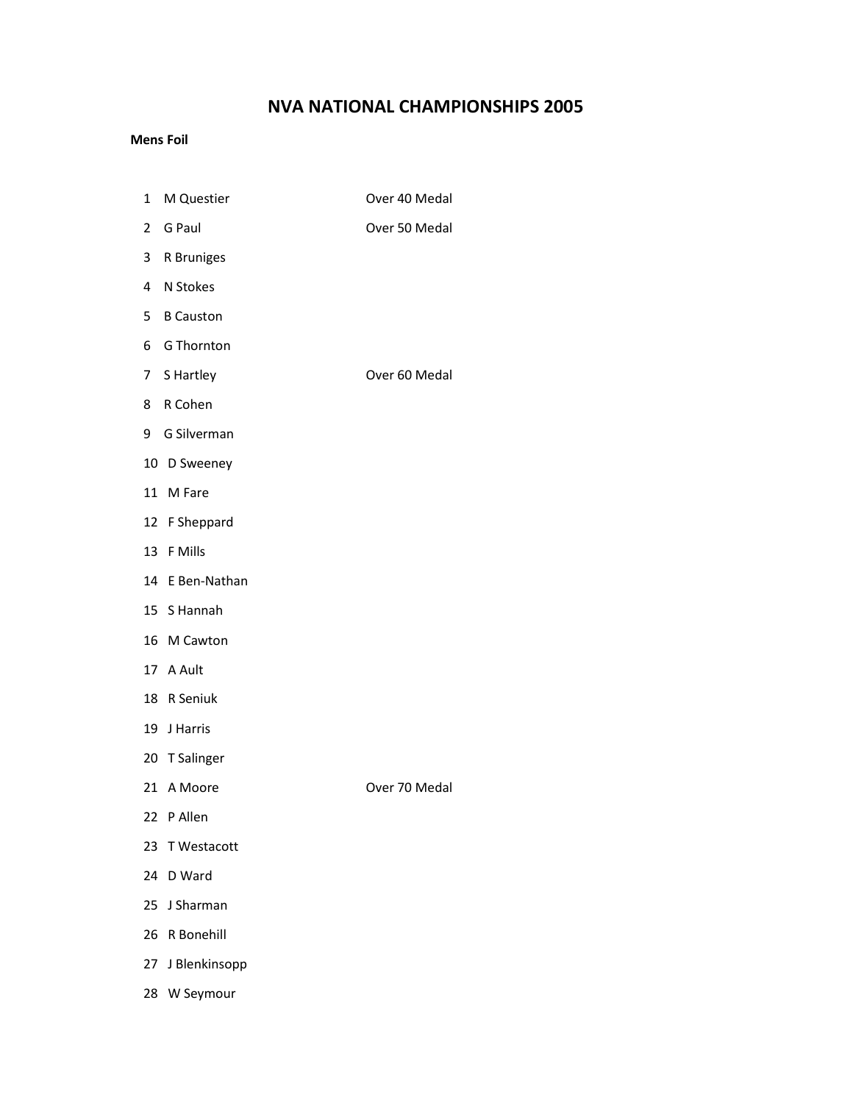### NVA NATIONAL CHAMPIONSHIPS 2005

#### Mens Foil

- 1 M Questier **Canadian Cover 40 Medal**
- 2 G Paul **Over 50 Medal**
- 3 R Bruniges
- 4 N Stokes
- 5 B Causton
- 6 G Thornton
- 7 S Hartley **COVET SERVICE SERVICE SERVICE SERVICE SERVICE SERVICE SERVICE SERVICE SERVICE SERVICE SERVICE SERVICE** 
	-
- 8 R Cohen
- 9 G Silverman
- 10 D Sweeney
- 11 M Fare
- 12 F Sheppard
- 13 F Mills
- 14 E Ben-Nathan
- 15 S Hannah
- 16 M Cawton
- 17 A Ault
- 18 R Seniuk
- 19 J Harris
- 20 T Salinger
- 
- 21 A Moore **Over 70 Medal**
- 22 P Allen
- 23 T Westacott
- 24 D Ward
- 25 J Sharman
- 26 R Bonehill
- 27 J Blenkinsopp
- 28 W Seymour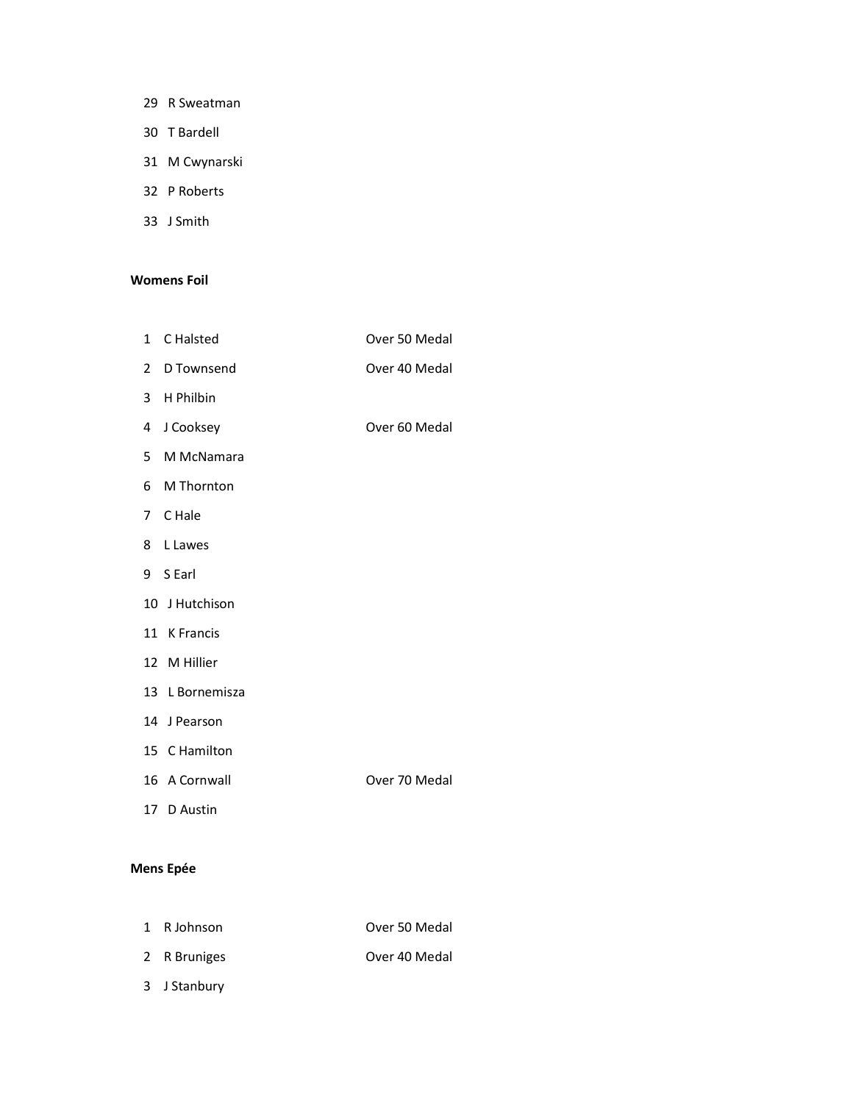- 29 R Sweatman
- 30 T Bardell
- 31 M Cwynarski
- 32 P Roberts
- 33 J Smith

#### Womens Foil

- 1 C Halsted **Over 50 Medal**
- 2 D Townsend **Over 40 Medal**
- 3 H Philbin
- 4 J Cooksey **Over 60 Medal**
- 5 M McNamara
- 6 M Thornton
- 7 C Hale
- 8 L Lawes
- 9 S Earl
- 10 J Hutchison
- 11 K Francis
- 12 M Hillier
- 13 L Bornemisza
- 14 J Pearson
- 15 C Hamilton
- 16 A Cornwall **Canada A Cornwall Over 70 Medal**
- 17 D Austin

#### Mens Epée

 1 R Johnson Over 50 Medal 2 R Bruniges Cover 40 Medal 3 J Stanbury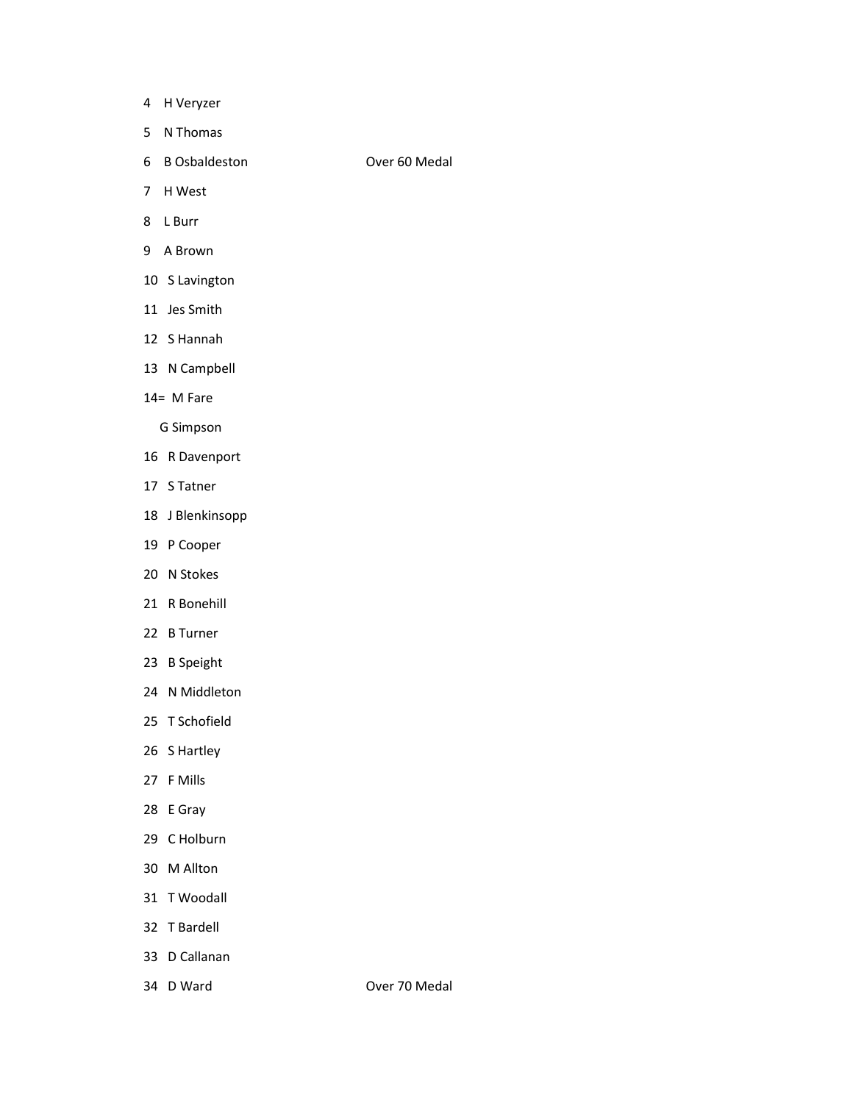- 4 H Veryzer
- 5 N Thomas
- 6 B Osbaldeston Over 60 Medal
- 7 H West

- 8 L Burr
- 
- 9 A Brown
- 10 S Lavington
- 11 Jes Smith
- 12 S Hannah
- 13 N Campbell
- 14= M Fare

G Simpson

- 16 R Davenport
- 17 S Tatner
- 18 J Blenkinsopp
- 19 P Cooper
- 20 N Stokes
- 21 R Bonehill
- 22 B Turner
- 23 B Speight
- 24 N Middleton
- 25 T Schofield
- 26 S Hartley
- 27 F Mills
- 28 E Gray
- 29 C Holburn
- 30 M Allton
- 31 T Woodall
- 32 T Bardell
- 33 D Callanan
- 

34 D Ward **Over 70 Medal**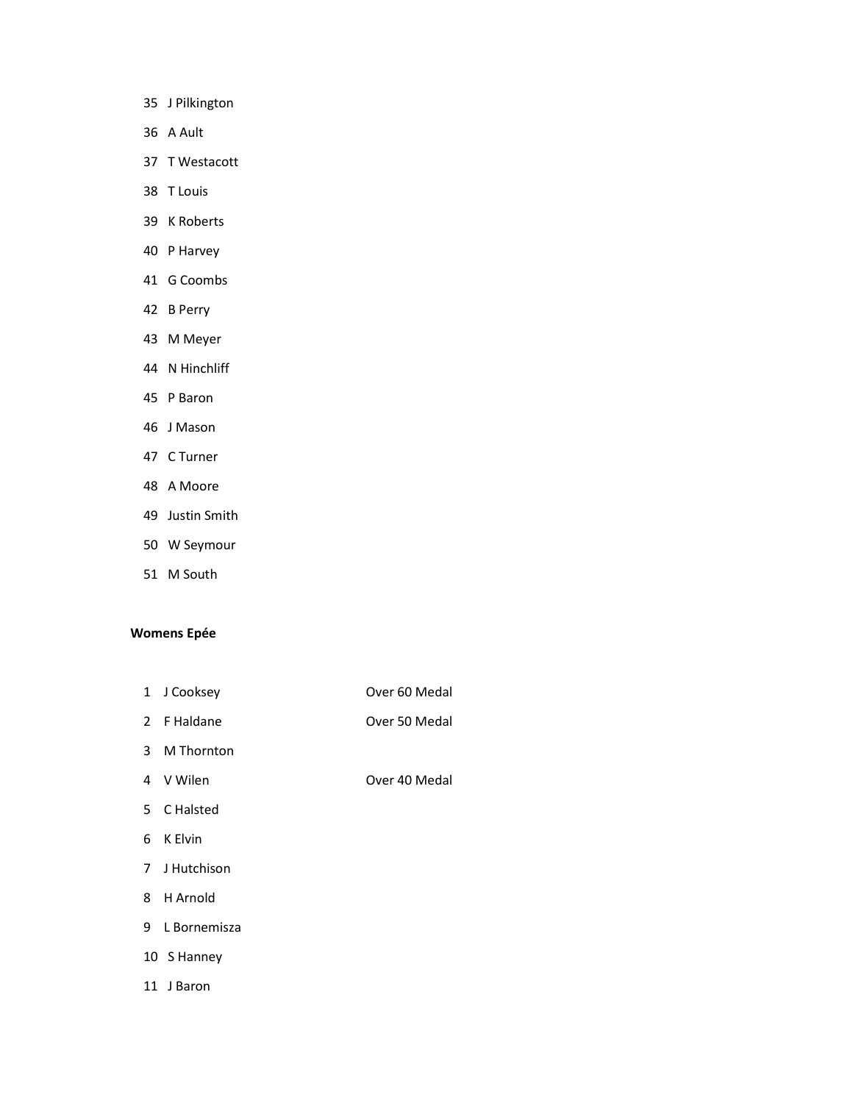- 35 J Pilkington
- 36 A Ault
- 37 T Westacott
- 38 T Louis
- 39 K Roberts
- 40 P Harvey
- 41 G Coombs
- 42 B Perry
- 43 M Meyer
- 44 N Hinchliff
- 45 P Baron
- 46 J Mason
- 47 C Turner
- 48 A Moore
- 49 Justin Smith
- 50 W Seymour
- 51 M South

#### Womens Epée

- 1 J Cooksey **Over 60 Medal**
- 2 F Haldane **Over 50 Medal**
- 3 M Thornton
- 
- 4 V Wilen Cover 40 Medal
- 5 C Halsted
- 6 K Elvin
- 7 J Hutchison
- 8 H Arnold
- 9 L Bornemisza
- 10 S Hanney
- 11 J Baron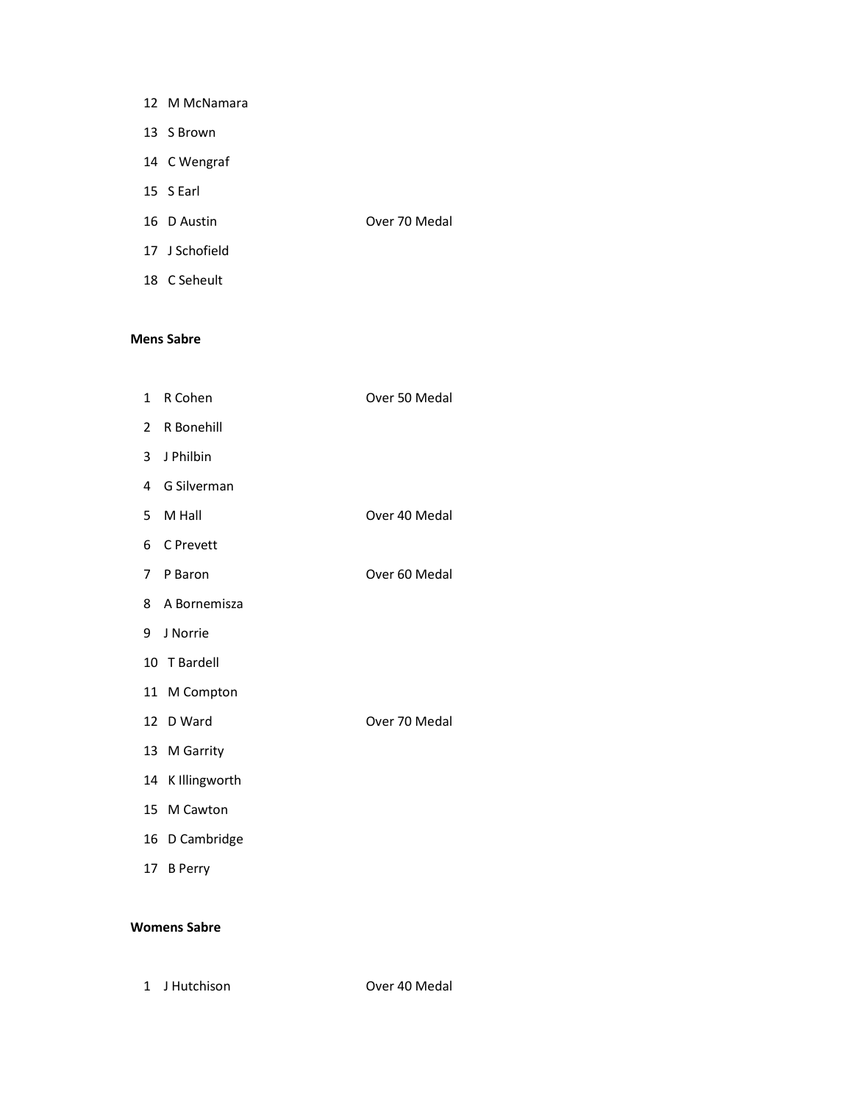| 12 M McNamara  |               |
|----------------|---------------|
| 13 S Brown     |               |
| 14 C Wengraf   |               |
| 15 S Earl      |               |
| 16 D Austin    | Over 70 Medal |
| 17 J Schofield |               |
| 18 C Seheult   |               |

#### Mens Sabre

| $\mathbf{1}$   | R Cohen          | Over 50 Medal |
|----------------|------------------|---------------|
| $\overline{2}$ | R Bonehill       |               |
| $\mathbf{3}$   | J Philbin        |               |
| 4              | G Silverman      |               |
| 5              | M Hall           | Over 40 Medal |
| 6              | C Prevett        |               |
| $\overline{7}$ | P Baron          | Over 60 Medal |
|                | 8 A Bornemisza   |               |
| 9              | J Norrie         |               |
|                | 10 T Bardell     |               |
|                | 11 M Compton     |               |
|                | 12 D Ward        | Over 70 Medal |
|                | 13 M Garrity     |               |
|                | 14 K Illingworth |               |
|                | 15 M Cawton      |               |
|                | 16 D Cambridge   |               |
|                | 17 B Perry       |               |
|                |                  |               |

### Womens Sabre

1 J Hutchison Over 40 Medal